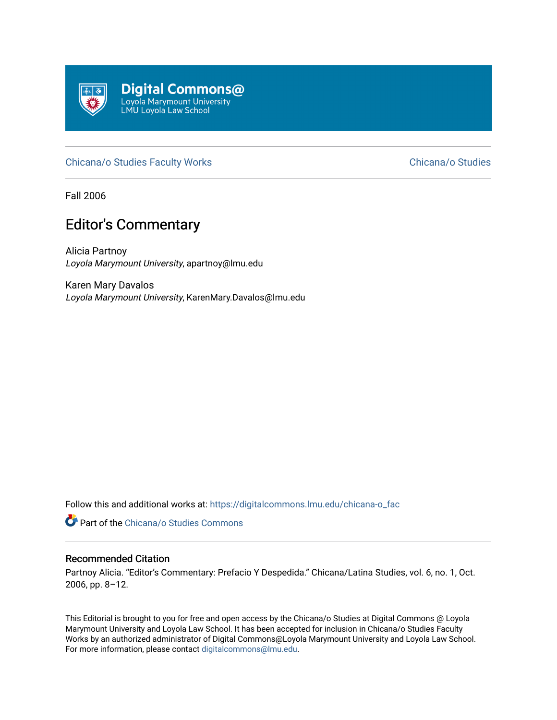

### [Chicana/o Studies Faculty Works](https://digitalcommons.lmu.edu/chicana-o_fac) **Chicana** Chicana Chicana Chicana Chicana Chicana Chicana Chicana Chicana Chicana Chicana Chicana Chicana Chicana Chicana Chicana Chicana Chicana Chicana Chicana Chicana Chicana Chicana Chic

Fall 2006

## **Editor's Commentary**

Alicia Partnoy Loyola Marymount University, apartnoy@lmu.edu

Karen Mary Davalos Loyola Marymount University, KarenMary.Davalos@lmu.edu

Follow this and additional works at: [https://digitalcommons.lmu.edu/chicana-o\\_fac](https://digitalcommons.lmu.edu/chicana-o_fac?utm_source=digitalcommons.lmu.edu%2Fchicana-o_fac%2F55&utm_medium=PDF&utm_campaign=PDFCoverPages) 

Part of the [Chicana/o Studies Commons](http://network.bepress.com/hgg/discipline/569?utm_source=digitalcommons.lmu.edu%2Fchicana-o_fac%2F55&utm_medium=PDF&utm_campaign=PDFCoverPages)

### Recommended Citation

Partnoy Alicia. "Editor's Commentary: Prefacio Y Despedida." Chicana/Latina Studies, vol. 6, no. 1, Oct. 2006, pp. 8–12.

This Editorial is brought to you for free and open access by the Chicana/o Studies at Digital Commons @ Loyola Marymount University and Loyola Law School. It has been accepted for inclusion in Chicana/o Studies Faculty Works by an authorized administrator of Digital Commons@Loyola Marymount University and Loyola Law School. For more information, please contact [digitalcommons@lmu.edu.](mailto:digitalcommons@lmu.edu)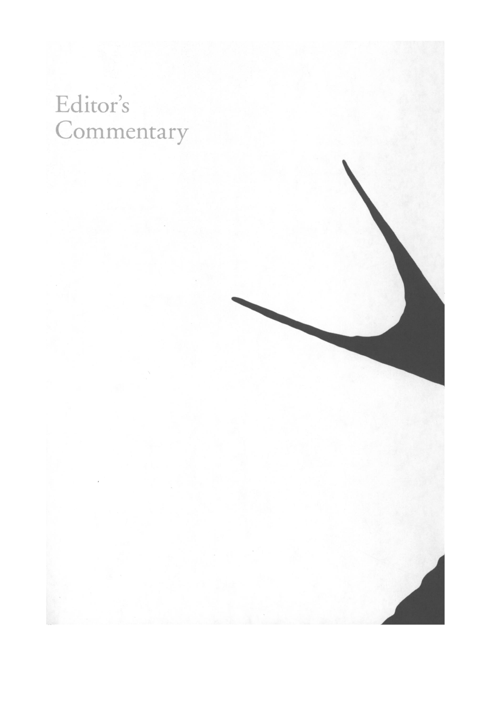# Editor's **Commentary**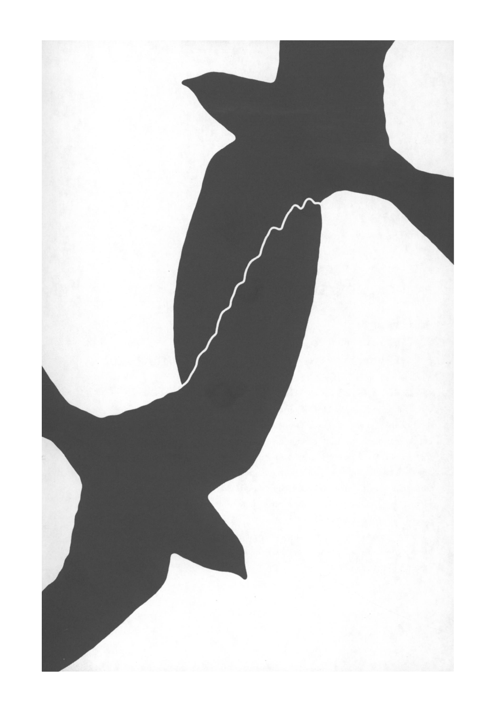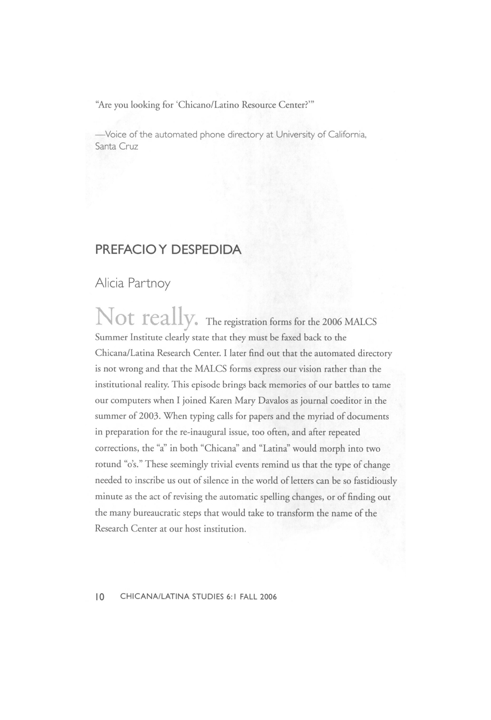"Are you looking for 'Chicano/Latino Resource Center?"'

 —Voice of the automated phone directory at University of California, Santa Cruz

## PREFACIOY DESPEDIDA

### Alicia Partnoy

 Summer Institute clearly state that they must be faxed back to the Chicana/Latina Research Center. I later find out that the automated directory is not wrong and that the MALCS forms express our vision rather than the institutional reality. This episode brings back memories of our battles to tame our computers when I joined Karen Mary Davalos as journal coeditor in the summer of 2003. When typing calls for papers and the myriad of documents in preparation for the re-inaugural issue, too often, and after repeated corrections, the "a" in both "Chicana" and "Latina" would morph into two rotund "o's." These seemingly trivial events remind us that the type of change needed to inscribe us out of silence in the world of letters can be so fastidiously minute as the act of revising the automatic spelling changes, or of finding out the many bureaucratic steps that would take to transform the name of the Research Center at our host institution. Not really. The registration forms for the 2006 MALCS

#### 10 CHICANA/LATINA STUDIES 6:1 FALL 2006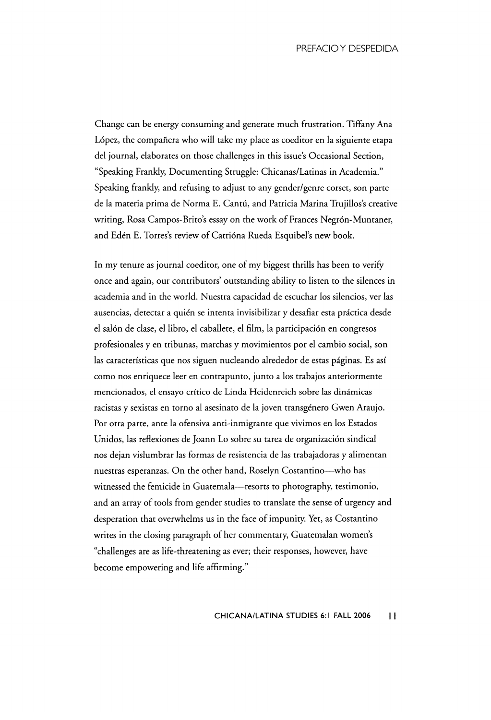Change can be energy consuming and generate much frustration. Tiffany Ana López, the compañera who will take my place as coeditor en la siguiente etapa del journal, elaborates on those challenges in this issue's Occasional Section, "Speaking Frankly, Documenting Struggle: Chicanas/Latinas in Academia." Speaking frankly, and refusing to adjust to any gender/genre corset, son parte de la materia prima de Norma E. Cantu, and Patricia Marina Trujillos's creative writing, Rosa Campos-Brito's essay on the work of Frances Negrón-Muntaner, and Eden E. Torres's review of Catriona Rueda Esquibel's new book.

 In my tenure as journal coeditor, one of my biggest thrills has been to verify once and again, our contributors' outstanding ability to listen to the silences in academia and in the world. Nuestra capacidad de escuchar los silencios, ver las ausencias, detectar a quién se intenta invisibilizar y desafiar esta práctica desde el salon de clase, el libro, el caballete, el film, la participacion en congresos profesionales y en tribunas, marchas y movimientos por el cambio social, son las características que nos siguen nucleando alrededor de estas páginas. Es así como nos enriquece leer en contrapunto, junto a los trabajos anteriormente mencionados, el ensayo crítico de Linda Heidenreich sobre las dinámicas racistas y sexistas en torno al asesinato de la joven transgénero Gwen Araujo. Por otra parte, ante la ofensiva anti-inmigrante que vivimos en los Estados Unidos, las reflexiones de Joann Lo sobre su tarea de organizacion sindical nos dejan vislumbrar las formas de resistencia de las trabajadoras y alimentan nuestras esperanzas. On the other hand, Roselyn Costantino—who has witnessed the femicide in Guatemala—resorts to photography, testimonio, and an array of tools from gender studies to translate the sense of urgency and desperation that overwhelms us in the face of impunity. Yet, as Costantino writes in the closing paragraph of her commentary, Guatemalan women's "challenges are as life-threatening as ever; their responses, however, have become empowering and life affirming."